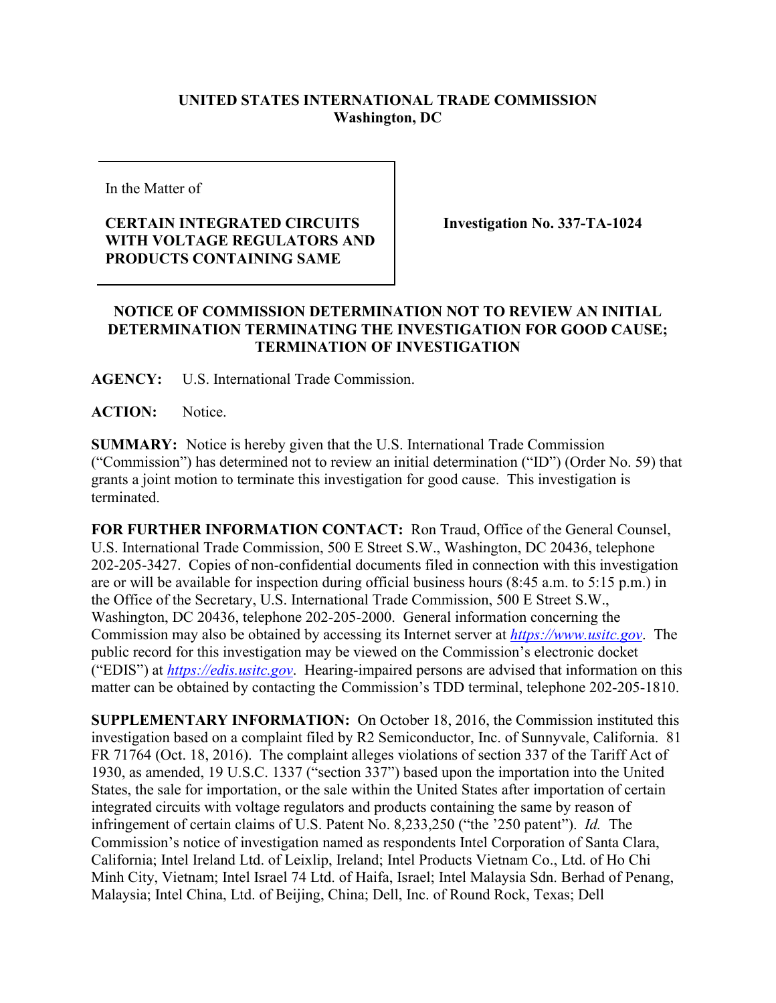## **UNITED STATES INTERNATIONAL TRADE COMMISSION Washington, DC**

In the Matter of

## **CERTAIN INTEGRATED CIRCUITS WITH VOLTAGE REGULATORS AND PRODUCTS CONTAINING SAME**

**Investigation No. 337-TA-1024**

## **NOTICE OF COMMISSION DETERMINATION NOT TO REVIEW AN INITIAL DETERMINATION TERMINATING THE INVESTIGATION FOR GOOD CAUSE; TERMINATION OF INVESTIGATION**

**AGENCY:** U.S. International Trade Commission.

**ACTION:** Notice.

**SUMMARY:** Notice is hereby given that the U.S. International Trade Commission ("Commission") has determined not to review an initial determination ("ID") (Order No. 59) that grants a joint motion to terminate this investigation for good cause. This investigation is terminated.

**FOR FURTHER INFORMATION CONTACT:** Ron Traud, Office of the General Counsel, U.S. International Trade Commission, 500 E Street S.W., Washington, DC 20436, telephone 202-205-3427. Copies of non-confidential documents filed in connection with this investigation are or will be available for inspection during official business hours (8:45 a.m. to 5:15 p.m.) in the Office of the Secretary, U.S. International Trade Commission, 500 E Street S.W., Washington, DC 20436, telephone 202-205-2000. General information concerning the Commission may also be obtained by accessing its Internet server at *[https://www.usitc.gov](https://www.usitc.gov/)*. The public record for this investigation may be viewed on the Commission's electronic docket ("EDIS") at *[https://edis.usitc.gov](https://edis.usitc.gov/)*. Hearing-impaired persons are advised that information on this matter can be obtained by contacting the Commission's TDD terminal, telephone 202-205-1810.

**SUPPLEMENTARY INFORMATION:** On October 18, 2016, the Commission instituted this investigation based on a complaint filed by R2 Semiconductor, Inc. of Sunnyvale, California. 81 FR 71764 (Oct. 18, 2016). The complaint alleges violations of section 337 of the Tariff Act of 1930, as amended, 19 U.S.C. 1337 ("section 337") based upon the importation into the United States, the sale for importation, or the sale within the United States after importation of certain integrated circuits with voltage regulators and products containing the same by reason of infringement of certain claims of U.S. Patent No. 8,233,250 ("the '250 patent"). *Id.* The Commission's notice of investigation named as respondents Intel Corporation of Santa Clara, California; Intel Ireland Ltd. of Leixlip, Ireland; Intel Products Vietnam Co., Ltd. of Ho Chi Minh City, Vietnam; Intel Israel 74 Ltd. of Haifa, Israel; Intel Malaysia Sdn. Berhad of Penang, Malaysia; Intel China, Ltd. of Beijing, China; Dell, Inc. of Round Rock, Texas; Dell